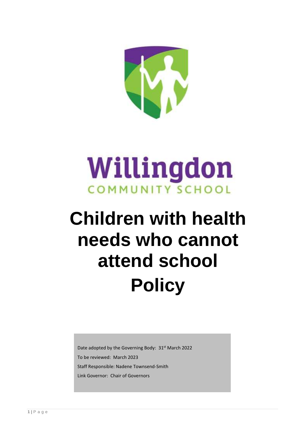

# Willingdon **COMMUNITY SCHOOL**

# **Children with health needs who cannot attend school Policy**

Date adopted by the Governing Body: 31<sup>st</sup> March 2022 To be reviewed: March 2023 Staff Responsible: Nadene Townsend-Smith Link Governor: Chair of Governors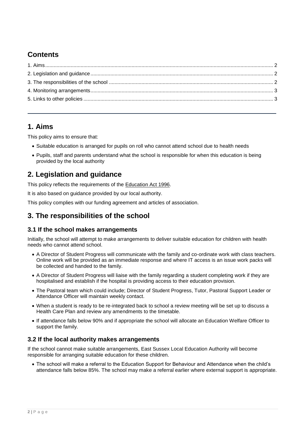## **Contents**

## <span id="page-1-0"></span>1. Aims

This policy aims to ensure that:

- Suitable education is arranged for pupils on roll who cannot attend school due to health needs
- . Pupils, staff and parents understand what the school is responsible for when this education is being provided by the local authority

## <span id="page-1-1"></span>2. Legislation and guidance

This policy reflects the requirements of the Education Act 1996.

It is also based on guidance provided by our local authority.

This policy complies with our funding agreement and articles of association.

## <span id="page-1-2"></span>3. The responsibilities of the school

#### 3.1 If the school makes arrangements

Initially, the school will attempt to make arrangements to deliver suitable education for children with health needs who cannot attend school.

- A Director of Student Progress will communicate with the family and co-ordinate work with class teachers. Online work will be provided as an immediate response and where IT access is an issue work packs will be collected and handed to the family.
- A Director of Student Progress will liaise with the family regarding a student completing work if they are hospitalised and establish if the hospital is providing access to their education provision.
- The Pastoral team which could include; Director of Student Progress, Tutor, Pastoral Support Leader or Attendance Officer will maintain weekly contact.
- When a student is ready to be re-integrated back to school a review meeting will be set up to discuss a Health Care Plan and review any amendments to the timetable.
- If attendance falls below 90% and if appropriate the school will allocate an Education Welfare Officer to support the family.

### 3.2 If the local authority makes arrangements

If the school cannot make suitable arrangements, East Sussex Local Education Authority will become responsible for arranging suitable education for these children.

• The school will make a referral to the Education Support for Behaviour and Attendance when the child's attendance falls below 85%. The school may make a referral earlier where external support is appropriate.